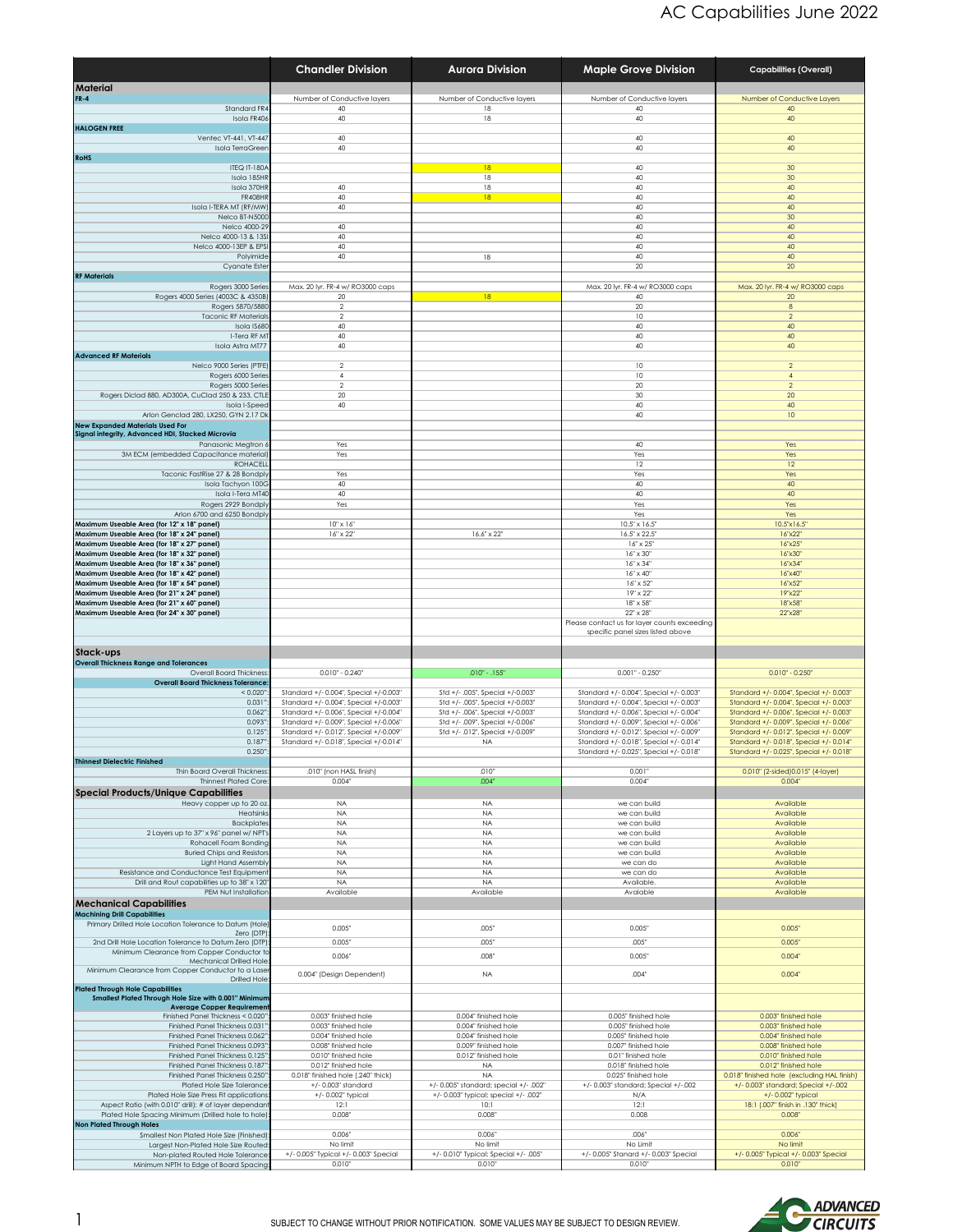|                                                                                            | <b>Chandler Division</b>                                                         | <b>Aurora Division</b>                                                          | <b>Maple Grove Division</b>                                                        | <b>Capabilities (Overall)</b>                                                      |
|--------------------------------------------------------------------------------------------|----------------------------------------------------------------------------------|---------------------------------------------------------------------------------|------------------------------------------------------------------------------------|------------------------------------------------------------------------------------|
| <b>Material</b>                                                                            |                                                                                  |                                                                                 |                                                                                    |                                                                                    |
| <b>FR-4</b><br>Standard FR4                                                                | Number of Conductive layers<br>40                                                | Number of Conductive layers<br>18                                               | Number of Conductive layers<br>40                                                  | Number of Conductive Layers<br>40                                                  |
| Isola FR406                                                                                | 40                                                                               | 18                                                                              | 40                                                                                 | 40                                                                                 |
| <b>HALOGEN FREE</b><br>Ventec VT-441, VT-447                                               | 40                                                                               |                                                                                 | 40                                                                                 | 40                                                                                 |
| <b>Isola TerraGreer</b>                                                                    | 40                                                                               |                                                                                 | 40                                                                                 | 40                                                                                 |
| <b>RoHS</b><br><b>ITEQ IT-180A</b>                                                         |                                                                                  | 18                                                                              | 40                                                                                 | 30                                                                                 |
| Isola 185HR                                                                                |                                                                                  | 18                                                                              | 40                                                                                 | 30                                                                                 |
| Isola 370HR<br><b>FR408HF</b>                                                              | 40<br>40                                                                         | 18<br>$\overline{18}$                                                           | 40<br>40                                                                           | 40<br>40                                                                           |
| Isola I-TERA MT (RF/MW                                                                     | 40                                                                               |                                                                                 | 40                                                                                 | 40                                                                                 |
| Nelco BT-N5000<br>Nelco 4000-29                                                            | 40                                                                               |                                                                                 | 40<br>40                                                                           | 30<br>40                                                                           |
| Nelco 4000-13 & 13S                                                                        | 40                                                                               |                                                                                 | 40                                                                                 | 40                                                                                 |
| Nelco 4000-13EP & EPS<br>Polyimide                                                         | 40<br>40                                                                         | 18                                                                              | 40<br>40                                                                           | 40<br>40                                                                           |
| Cyanate Ester                                                                              |                                                                                  |                                                                                 | 20                                                                                 | 20                                                                                 |
| <b>RF Materials</b><br>Rogers 3000 Series                                                  | Max. 20 lyr. FR-4 w/ RO3000 caps                                                 |                                                                                 | Max. 20 lyr. FR-4 w/ RO3000 caps                                                   | Max. 20 lyr. FR-4 w/ RO3000 caps                                                   |
| Rogers 4000 Series (4003C & 4350B)                                                         | 20                                                                               | 18                                                                              | 40                                                                                 | 20                                                                                 |
| Rogers 5870/5880<br><b>Taconic RF Materials</b>                                            | $\overline{2}$<br>$\mathcal{P}$                                                  |                                                                                 | 20<br>10                                                                           | 8<br>$\overline{2}$                                                                |
| Isola IS680<br>I-Tera RF M'                                                                | 40<br>40                                                                         |                                                                                 | 40<br>40                                                                           | 40<br>40                                                                           |
| Isola Astra MT77                                                                           | 40                                                                               |                                                                                 | 40                                                                                 | 40                                                                                 |
| <b>Advanced RF Materials</b>                                                               |                                                                                  |                                                                                 |                                                                                    |                                                                                    |
| Nelco 9000 Series (PTFE)<br>Rogers 6000 Series                                             | $\overline{2}$<br>$\overline{4}$                                                 |                                                                                 | 10<br>10                                                                           | $\overline{2}$<br>$\overline{4}$                                                   |
| Rogers 5000 Series                                                                         | $\overline{2}$                                                                   |                                                                                 | 20                                                                                 | $\overline{2}$                                                                     |
| Rogers Diclad 880, AD300A, CuClad 250 & 233, CTL<br>Isola I-Speec                          | 20<br>40                                                                         |                                                                                 | 30<br>40                                                                           | 20<br>40                                                                           |
| Arlon Genclad 280, LX250, GYN 2.17 DK                                                      |                                                                                  |                                                                                 | 40                                                                                 | 10                                                                                 |
| <b>New Expanded Materials Used For</b><br>Signal integrity, Advanced HDI, Stacked Microvia |                                                                                  |                                                                                 |                                                                                    |                                                                                    |
| Panasonic Megtron &                                                                        | Yes                                                                              |                                                                                 | 40                                                                                 | Yes                                                                                |
| 3M ECM (embedded Capacitance material)<br><b>ROHACELI</b>                                  | Yes                                                                              |                                                                                 | Yes<br>12                                                                          | Yes<br>12                                                                          |
| Taconic FastRise 27 & 28 Bondply                                                           | Yes                                                                              |                                                                                 | Yes                                                                                | Yes                                                                                |
| Isola Tachyon 100G<br>Isola I-Tera MT40                                                    | 40<br>40                                                                         |                                                                                 | 40<br>40                                                                           | 40<br>40                                                                           |
| Rogers 2929 Bondply                                                                        | Yes                                                                              |                                                                                 | Yes                                                                                | Yes                                                                                |
| Arlon 6700 and 6250 Bondpl<br>Maximum Useable Area (for 12" x 18" panel)                   | $10" \times 16"$                                                                 |                                                                                 | Yes<br>$10.5" \times 16.5"$                                                        | Yes<br>10.5"x16.5"                                                                 |
| Maximum Useable Area (for 18" x 24" panel)                                                 | 16" x 22"                                                                        | $16.6" \times 22"$                                                              | 16.5" x 22.5"                                                                      | 16"x22"                                                                            |
| Maximum Useable Area (for 18" x 27" panel)<br>Maximum Useable Area (for 18" x 32" panel)   |                                                                                  |                                                                                 | 16" x 25"<br>16" x 30"                                                             | 16"x25"<br>16"x30"                                                                 |
| Maximum Useable Area (for 18" x 36" panel)                                                 |                                                                                  |                                                                                 | $16" \times 34"$                                                                   | 16''x34'                                                                           |
| Maximum Useable Area (for 18" x 42" panel)<br>Maximum Useable Area (for 18" x 54" panel)   |                                                                                  |                                                                                 | $16" \times 40"$<br>16" x 52"                                                      | 16"x40"<br>16"x52"                                                                 |
| Maximum Useable Area (for 21" x 24" panel)                                                 |                                                                                  |                                                                                 | 19" x 22"                                                                          | 19"x22"                                                                            |
| Maximum Useable Area (for 21" x 60" panel)<br>Maximum Useable Area (for 24" x 30" panel)   |                                                                                  |                                                                                 | 18" x 58"<br>22" x 28"                                                             | 18"x58"<br>22'x28'                                                                 |
|                                                                                            |                                                                                  |                                                                                 | Please contact us for layer counts exceeding                                       |                                                                                    |
|                                                                                            |                                                                                  |                                                                                 | specific panel sizes listed above                                                  |                                                                                    |
| Stack-ups<br><b>Overall Thickness Range and Tolerances</b>                                 |                                                                                  |                                                                                 |                                                                                    |                                                                                    |
| <b>Overall Board Thickness</b>                                                             | $0.010" - 0.240"$                                                                | $.010" - .155"$                                                                 | $0.001" - 0.250"$                                                                  | $0.010" - 0.250"$                                                                  |
| <b>Overall Board Thickness Tolerance</b><br>< 0.020                                        | Standard +/- 0.004", Special +/-0.003"                                           | Std +/- .005", Special +/-0.003"                                                | Standard +/- 0.004", Special +/- 0.003"                                            | Standard +/- 0.004", Special +/- 0.003"                                            |
| 0.031'                                                                                     | Standard +/- 0.004", Special +/-0.003"                                           | Std +/- .005", Special +/-0.003"                                                | Standard +/- 0.004", Special +/- 0.003'                                            | Standard +/- 0.004", Special +/- 0.003"                                            |
| 0.062<br>0.093                                                                             | Standard +/- 0.006", Special +/-0.004"<br>Standard +/- 0.009", Special +/-0.006" | Std +/- .006", Special +/-0.003"<br>Std +/- .009", Special +/-0.006"            | Standard +/- 0.006", Special +/- 0.004"<br>Standard +/- 0.009", Special +/- 0.006' | Standard +/- 0.006", Special +/- 0.003"<br>Standard +/- 0.009", Special +/- 0.006" |
| 0.125'                                                                                     | Standard +/- 0.012", Special +/-0.009'                                           | Std +/- .012", Special +/-0.009"                                                | Standard +/- 0.012", Special +/- 0.009'                                            | Standard +/- 0.012", Special +/- 0.009"                                            |
| 0.187<br>0.250'                                                                            | Standard +/- 0.018", Special +/-0.014"                                           | <b>NA</b>                                                                       | Standard +/- 0.018", Special +/- 0.014'<br>Standard +/-0.025", Special +/-0.018'   | Standard +/- 0.018", Special +/- 0.014"<br>Standard +/- 0.025", Special +/- 0.018" |
| <b>Thinnest Dielectric Finished</b>                                                        |                                                                                  |                                                                                 |                                                                                    |                                                                                    |
| Thin Board Overall Thickness<br><b>Thinnest Plated Core</b>                                | .010" (non HASL finish)<br>$0.004$ "                                             | .010<br>.004                                                                    | 0.001'<br>0.004"                                                                   | 0.010" (2-sided) 0.015" (4-layer)<br>0.004"                                        |
| <b>Special Products/Unique Capabilities</b>                                                |                                                                                  |                                                                                 |                                                                                    |                                                                                    |
| Heavy copper up to 20 oz                                                                   | <b>NA</b>                                                                        | <b>NA</b>                                                                       | we can build                                                                       | Available                                                                          |
| Heatsink:<br>Backplate:                                                                    | <b>NA</b><br><b>NA</b>                                                           | <b>NA</b><br>NA.                                                                | we can build<br>we can build                                                       | Available<br>Available                                                             |
| 2 Layers up to 37" x 96" panel w/ NPT!                                                     | <b>NA</b><br><b>NA</b>                                                           | <b>NA</b><br><b>NA</b>                                                          | we can build                                                                       | Available                                                                          |
| Rohacell Foam Bonding<br><b>Buried Chips and Resistor</b>                                  | <b>NA</b>                                                                        | <b>NA</b>                                                                       | we can build<br>we can build                                                       | Available<br>Available                                                             |
| Light Hand Assembly<br>Resistance and Conductance Test Equipmen                            | <b>NA</b><br><b>NA</b>                                                           | <b>NA</b><br><b>NA</b>                                                          | we can do<br>we can do                                                             | Available<br>Available                                                             |
| Drill and Rout capabilities up to 38" x 120                                                | <b>NA</b>                                                                        | <b>NA</b>                                                                       | Available.                                                                         | Available                                                                          |
| PEM Nut Installation<br><b>Mechanical Capabilities</b>                                     | Available                                                                        | Available                                                                       | Avalable                                                                           | Available                                                                          |
| <b>Machining Drill Capabilities</b>                                                        |                                                                                  |                                                                                 |                                                                                    |                                                                                    |
| Primary Drilled Hole Location Tolerance to Datum (Hole)<br>Zero (DTP)                      | 0.005"                                                                           | .005"                                                                           | 0.005"                                                                             | 0.005"                                                                             |
| 2nd Drill Hole Location Tolerance to Datum Zero (DTP)                                      | 0.005"                                                                           | .005                                                                            | .005"                                                                              | 0.005"                                                                             |
| Minimum Clearance from Copper Conductor to<br>Mechanical Drilled Hole:                     | 0.006"                                                                           | .008                                                                            | 0.005"                                                                             | 0.004"                                                                             |
| Minimum Clearance from Copper Conductor to a Lase<br>Drilled Hole:                         | 0.004" (Design Dependent)                                                        | NA.                                                                             | .004"                                                                              | 0.004"                                                                             |
| <b>Plated Through Hole Capabilities</b>                                                    |                                                                                  |                                                                                 |                                                                                    |                                                                                    |
| Smallest Plated Through Hole Size with 0.001" Minimum<br><b>Average Copper Requirement</b> |                                                                                  |                                                                                 |                                                                                    |                                                                                    |
| Finished Panel Thickness < 0.020'                                                          | 0.003" finished hole                                                             | 0.004" finished hole                                                            | 0.005" finished hole                                                               | 0.003" finished hole                                                               |
| Finished Panel Thickness 0.031'<br>Finished Panel Thickness 0.062'                         | 0.003" finished hole<br>0.004" finished hole                                     | 0.004" finished hole<br>0.004" finished hole                                    | 0.005" finished hole<br>0.005" finished hole                                       | 0.003" finished hole<br>0.004" finished hole                                       |
| Finished Panel Thickness 0.093'                                                            | 0.008" finished hole                                                             | 0.009" finished hole                                                            | 0.007" finished hole                                                               | 0.008" finished hole                                                               |
| Finished Panel Thickness 0.125'<br>Finished Panel Thickness 0.187                          | 0.010" finished hole<br>0.012" finished hole                                     | 0.012" finished hole<br>NA.                                                     | 0.01" finished hole<br>0.018" finished hole                                        | 0.010" finished hole<br>0.012" finished hole                                       |
| Finished Panel Thickness 0.250'                                                            | 0.018" finished hole (.240" thick)                                               | <b>NA</b>                                                                       | 0.025" finished hole                                                               | 0.018" finished hole (excluding HAL finish)                                        |
| Plated Hole Size Tolerance<br>Plated Hole Size Press Fit applications                      | +/- 0.003" standard<br>+/- 0.002" typical                                        | +/- 0.005" standard; special +/- .002"<br>+/- 0.003" typical; special +/- .002" | +/- 0.003" standard; Special +/-.002<br>N/A                                        | +/- 0.003" standard; Special +/-.002<br>+/- 0.002" typical                         |
| Aspect Ratio (with 0.010" drill): # of layer dependan                                      | 12:1                                                                             | 10:1                                                                            | 12:1                                                                               | 18:1 (.007" finish in .130" thick)                                                 |
| Plated Hole Spacing Minimum (Drilled hole to hole)<br><b>Non Plated Through Holes</b>      | $0.008$ "                                                                        | 0.008°                                                                          | 0.008                                                                              | 0.008"                                                                             |
| Smallest Non Plated Hole Size (Finished)                                                   | 0.006"                                                                           | 0.006"                                                                          | .006                                                                               | 0.006                                                                              |
| Largest Non-Plated Hole Size Routed                                                        | No limit                                                                         | No limit                                                                        | No Limit                                                                           | No limit                                                                           |
| Non-plated Routed Hole Tolerance                                                           | +/- 0.005" Typical +/- 0.003" Special                                            | +/- 0.010" Typical; Special +/- .005"                                           | +/- 0.005" Stanard +/- 0.003" Special                                              | +/- 0.005" Typical +/- 0.003" Special                                              |

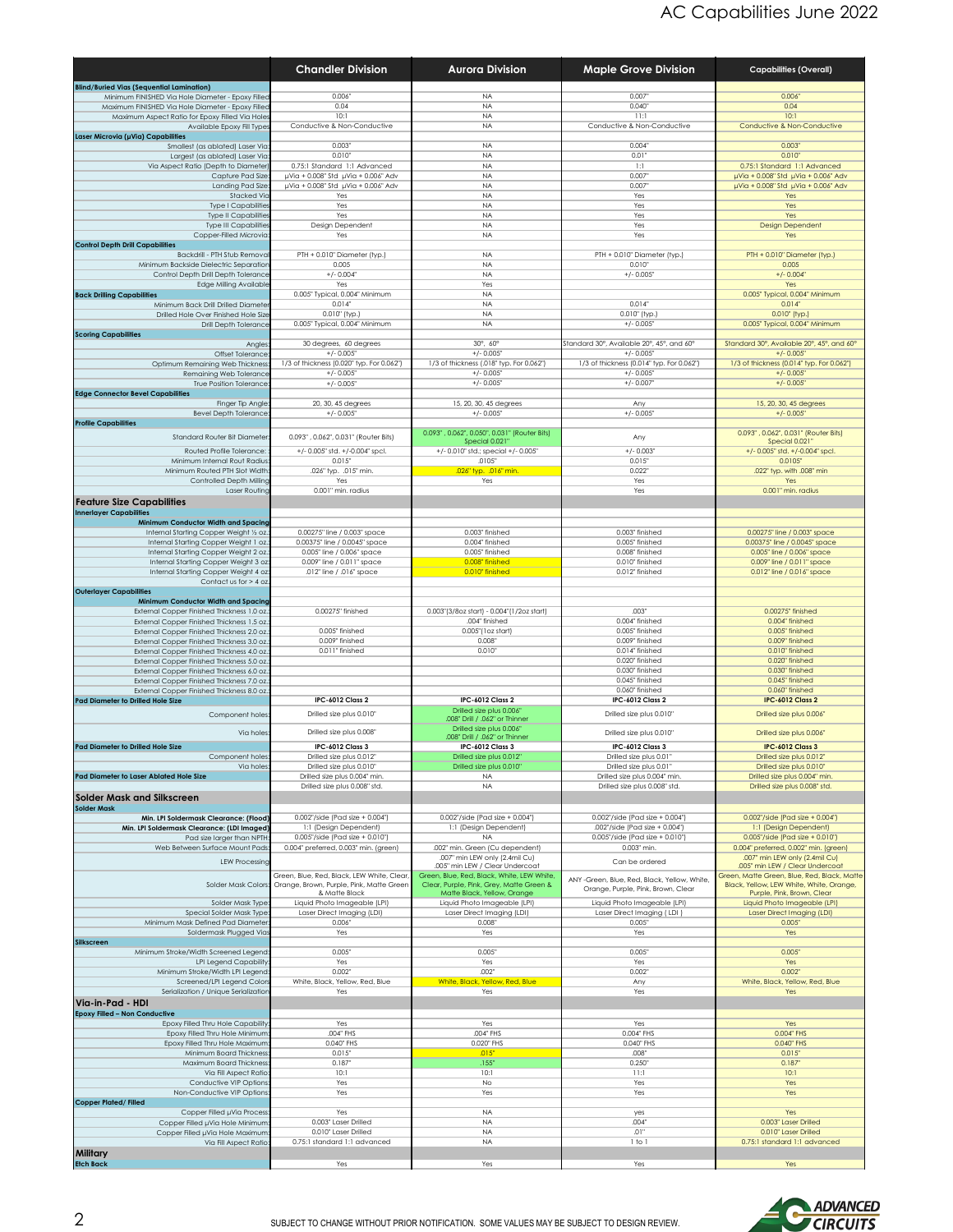|                                                                                                        | <b>Chandler Division</b>                                            | <b>Aurora Division</b>                                                  | <b>Maple Grove Division</b>                                       | <b>Capabilities (Overall)</b>                                          |
|--------------------------------------------------------------------------------------------------------|---------------------------------------------------------------------|-------------------------------------------------------------------------|-------------------------------------------------------------------|------------------------------------------------------------------------|
| <b>Blind/Buried Vias (Sequential Lamination)</b>                                                       |                                                                     |                                                                         |                                                                   |                                                                        |
| Minimum FINISHED Via Hole Diameter - Epoxy Filled<br>Maximum FINISHED Via Hole Diameter - Epoxy Filled | 0.006"<br>0.04                                                      | <b>NA</b><br><b>NA</b>                                                  | 0.007<br>0.040                                                    | 0.006<br>0.04                                                          |
| Maximum Aspect Ratio for Epoxy Filled Via Hole                                                         | 10:1                                                                | <b>NA</b>                                                               | 11:1                                                              | 10:1                                                                   |
| Available Epoxy Fill Types<br>Laser Microvia (µVia) Capabilities                                       | Conductive & Non-Conductive                                         | <b>NA</b>                                                               | Conductive & Non-Conductive                                       | Conductive & Non-Conductive                                            |
| Smallest (as ablated) Laser Via                                                                        | 0.003"                                                              | <b>NA</b>                                                               | 0.004"                                                            | 0.003                                                                  |
| Largest (as ablated) Laser Via                                                                         | 0.010"                                                              | <b>NA</b>                                                               | 0.01'                                                             | 0.010"                                                                 |
| Via Aspect Ratio (Depth to Diameter)<br>Capture Pad Size                                               | 0.75:1 Standard 1:1 Advanced<br>µVia + 0.008" Std µVia + 0.006" Adv | <b>NA</b><br><b>NA</b>                                                  | 1:1<br>0.007                                                      | 0.75:1 Standard 1:1 Advanced<br>µVia + 0.008" Std µVia + 0.006" Adv    |
| Landing Pad Size                                                                                       | µVia + 0.008" Std µVia + 0.006" Adv                                 | <b>NA</b>                                                               | 0.007                                                             | µVia + 0.008" Std µVia + 0.006" Adv                                    |
| <b>Stacked Vio</b>                                                                                     | Yes                                                                 | <b>NA</b>                                                               | Yes                                                               | Yes                                                                    |
| Type I Capabilitie<br>Type II Capabilitie                                                              | Yes<br>Yes                                                          | <b>NA</b><br><b>NA</b>                                                  | Yes<br>Yes                                                        | Yes<br>Yes                                                             |
| Type III Capabilitie                                                                                   | Design Dependent                                                    | <b>NA</b>                                                               | Yes                                                               | <b>Design Dependent</b>                                                |
| Copper-Filled Microvia<br><b>Control Depth Drill Capabilities</b>                                      | Yes                                                                 | <b>NA</b>                                                               | Yes                                                               | Yes                                                                    |
| Backdrill - PTH Stub Remova                                                                            | PTH + 0.010" Diameter (typ.)                                        | <b>NA</b>                                                               | PTH + 0.010" Diameter (typ.)                                      | PTH + 0.010" Diameter (typ.)                                           |
| Minimum Backside Dielectric Separation                                                                 | 0.005                                                               | <b>NA</b>                                                               | 0.010"                                                            | 0.005                                                                  |
| Control Depth Drill Depth Tolerance<br><b>Edge Milling Available</b>                                   | $+/- 0.004'$<br>Yes                                                 | <b>NA</b><br>Yes                                                        | $+/- 0.005$                                                       | $+/- 0.004$ "<br>Yes                                                   |
| <b>Back Drilling Capabilities</b>                                                                      | 0.005" Typical, 0.004" Minimum                                      | <b>NA</b>                                                               |                                                                   | 0.005" Typical, 0.004" Minimum                                         |
| Minimum Back Drill Drilled Diamete                                                                     | $0.014$ "                                                           | <b>NA</b>                                                               | 0.014"                                                            | 0.014"                                                                 |
| Drilled Hole Over Finished Hole Size<br>Drill Depth Tolerance                                          | 0.010" (typ.)<br>0.005" Typical, 0.004" Minimum                     | <b>NA</b><br><b>NA</b>                                                  | 0.010" (typ.)<br>$+/- 0.005$                                      | 0.010" (typ.)<br>0.005" Typical, 0.004" Minimum                        |
| <b>Scoring Capabilities</b>                                                                            |                                                                     |                                                                         |                                                                   |                                                                        |
| Angles                                                                                                 | 30 degrees, 60 degrees                                              | 30°, 60°                                                                | Standard 30°, Available 20°, 45°, and 60°                         | Standard 30°, Available 20°, 45°, and 60°                              |
| Offset Tolerance<br>Optimum Remaining Web Thickness                                                    | $+/- 0.005$ "<br>1/3 of thickness (0.020" typ. For 0.062")          | $+/- 0.005$<br>1/3 of thickness (.018" typ. For 0.062")                 | $+/- 0.005$ "<br>1/3 of thickness (0.014" typ. For 0.062")        | $+/- 0.005$<br>1/3 of thickness (0.014" typ. For 0.062")               |
| Remaining Web Tolerance                                                                                | $+/- 0.005$                                                         | $+/- 0.005$                                                             | $+/- 0.005$                                                       | $+/- 0.005$                                                            |
| True Position Tolerance<br><b>Edge Connector Bevel Capabilities</b>                                    | $+/- 0.005$ "                                                       | $+/- 0.005$                                                             | $+/- 0.007$                                                       | $+/- 0.005$                                                            |
| Finger Tip Angle                                                                                       | 20, 30, 45 degrees                                                  | 15, 20, 30, 45 degrees                                                  | Any                                                               | 15, 20, 30, 45 degrees                                                 |
| <b>Bevel Depth Tolerance</b>                                                                           | $+/- 0.005$                                                         | $+/- 0.005$                                                             | $+/- 0.005$                                                       | $+/- 0.005"$                                                           |
| <b>Profile Capabilities</b>                                                                            |                                                                     | 0.093", 0.062", 0.050", 0.031" (Router Bits)                            |                                                                   | 0.093", 0.062", 0.031" (Router Bits)                                   |
| Standard Router Bit Diameter                                                                           | 0.093", 0.062", 0.031" (Router Bits)                                | Special 0.021                                                           | Any                                                               | Special 0.021"                                                         |
| Routed Profile Tolerance:                                                                              | +/- 0.005" std. +/-0.004" spcl.                                     | +/- 0.010" std.; special +/- 0.005"                                     | $+/- 0.003$                                                       | +/- 0.005" std. +/-0.004" spcl.                                        |
| Minimum Internal Rout Radius<br>Minimum Routed PTH Slot Width                                          | 0.015"<br>.026" typ. .015" min.                                     | .0105'<br>.026" typ. .016" min.                                         | 0.015<br>0.022                                                    | 0.0105"<br>.022" tvp. with .008" min                                   |
| Controlled Depth Milling                                                                               | Yes                                                                 | Yes                                                                     | Yes                                                               | Yes                                                                    |
| Laser Routing                                                                                          | 0.001" min. radius                                                  |                                                                         | Yes                                                               | 0.001" min. radius                                                     |
| <b>Feature Size Capabilities</b><br><b>Innerlayer Capabilities</b>                                     |                                                                     |                                                                         |                                                                   |                                                                        |
| Minimum Conductor Width and Spacing                                                                    |                                                                     |                                                                         |                                                                   |                                                                        |
| Internal Starting Copper Weight 1/2 oz.                                                                | 0.00275" line / 0.003" space<br>0.00375" line / 0.0045" space       | 0.003" finished<br>0.004" finished                                      | 0.003" finished<br>0.005" finished                                | 0.00275" line / 0.003" space<br>0.00375" line / 0.0045" space          |
| Internal Starting Copper Weight 1 oz.<br>Internal Starting Copper Weight 2 oz.                         | 0.005" line / 0.006" space                                          | 0.005" finished                                                         | 0.008" finished                                                   | 0.005" line / 0.006" space                                             |
| Internal Starting Copper Weight 3 oz                                                                   | 0.009" line / 0.011" space                                          | 0.008" finished                                                         | 0.010" finished                                                   | 0.009" line / 0.011" space                                             |
| Internal Starting Copper Weight 4 oz<br>Contact us for > 4 oz                                          | .012" line / .016" space                                            | 0.010" finished                                                         | 0.012" finished                                                   | 0.012" line / 0.016" space                                             |
| <b>Outerlayer Capabilities</b>                                                                         |                                                                     |                                                                         |                                                                   |                                                                        |
| Minimum Conductor Width and Spacing                                                                    |                                                                     |                                                                         |                                                                   |                                                                        |
| External Copper Finished Thickness 1.0 oz.<br>External Copper Finished Thickness 1.5 oz.               | 0.00275" finished                                                   | 0.003"(3/8oz start) - 0.004"(1/2oz start)<br>.004" finished             | .003"<br>0.004" finished                                          | 0.00275" finished<br>0.004" finished                                   |
| External Copper Finished Thickness 2.0 oz.                                                             | 0.005" finished                                                     | 0.005"(1oz start)                                                       | 0.005" finished                                                   | 0.005" finished                                                        |
| External Copper Finished Thickness 3.0 oz.                                                             | 0.009" finished                                                     | 0.008                                                                   | 0.009" finished                                                   | 0.009" finished                                                        |
| External Copper Finished Thickness 4.0 oz.<br>External Copper Finished Thickness 5.0 oz.               | 0.011" finished                                                     | 0.010"                                                                  | 0.014" finished<br>0.020" finished                                | 0.010" finished<br>0.020" finished                                     |
| External Copper Finished Thickness 6.0 oz.                                                             |                                                                     |                                                                         | 0.030" finished                                                   | 0.030" finished                                                        |
| External Copper Finished Thickness 7.0 oz.                                                             |                                                                     |                                                                         | 0.045" finished<br>0.060" finished                                | 0.045" finished<br>0.060" finished                                     |
| External Copper Finished Thickness 8.0 oz.<br><b>Pad Diameter to Drilled Hole Size</b>                 | IPC-6012 Class 2                                                    | IPC-6012 Class 2                                                        | IPC-6012 Class 2                                                  | <b>IPC-6012 Class 2</b>                                                |
| Component holes                                                                                        | Drilled size plus 0.010"                                            | Drilled size plus 0.006"                                                | Drilled size plus 0.010"                                          | Drilled size plus 0.006'                                               |
|                                                                                                        |                                                                     | .008" Drill / .062" or Thinner<br>Drilled size plus 0.006"              |                                                                   |                                                                        |
| Via holes                                                                                              | Drilled size plus 0.008'                                            | .008" Drill / .062" or Thinner                                          | Drilled size plus 0.010'                                          | Drilled size plus 0.006'                                               |
| <b>Pad Diameter to Drilled Hole Size</b><br>Component hole:                                            | IPC-6012 Class 3<br>Drilled size plus 0.012                         | IPC-6012 Class 3<br>Drilled size plus 0.012                             | <b>IPC-6012 Class 3</b><br>Drilled size plus 0.01                 | <b>IPC-6012 Class 3</b><br>Drilled size plus 0.012                     |
| Via holes                                                                                              | Drilled size plus 0.010"                                            | Drilled size plus 0.010"                                                | Drilled size plus 0.01"                                           | Drilled size plus 0.010"                                               |
| Pad Diameter to Laser Ablated Hole Size                                                                | Drilled size plus 0.004" min.                                       | <b>NA</b>                                                               | Drilled size plus 0.004" min.                                     | Drilled size plus 0.004" min.                                          |
| Solder Mask and Silkscreen                                                                             | Drilled size plus 0.008" std.                                       | <b>NA</b>                                                               | Drilled size plus 0.008" std.                                     | Drilled size plus 0.008" std.                                          |
| <b>Solder Mask</b>                                                                                     |                                                                     |                                                                         |                                                                   |                                                                        |
| Min. LPI Soldermask Clearance: (Flood)                                                                 | 0.002"/side (Pad size + 0.004")                                     | 0.002"/side (Pad size + 0.004")                                         | 0.002"/side (Pad size + 0.004")                                   | 0.002"/side (Pad size + 0.004")<br>1:1 (Design Dependent)              |
| Min. LPI Soldermask Clearance: (LDI Imaged)<br>Pad size larger than NPTH                               | 1:1 (Design Dependent)<br>$0.005$ "/side (Pad size + $0.010$ ")     | 1:1 (Design Dependent)<br><b>NA</b>                                     | .002"/side (Pad size + 0.004")<br>0.005"/side (Pad size + 0.010") | 0.005"/side (Pad size + 0.010")                                        |
| Web Between Surface Mount Pads                                                                         | 0.004" preferred, 0.003" min. (green)                               | .002" min. Green (Cu dependent)                                         | 0.003" min.                                                       | 0.004" preferred, 0.002" min. (green)                                  |
| <b>LEW Processing</b>                                                                                  |                                                                     | .007" min LEW only (2.4mil Cu)<br>.005" min LEW / Clear Undercoat       | Can be ordered                                                    | .007" min LEW only (2.4mil Cu)<br>.005" min LEW / Clear Undercoat      |
|                                                                                                        | Green, Blue, Red, Black, LEW White, Clear,                          | Green, Blue, Red, Black, White, LEW White,                              | ANY-Green, Blue, Red, Black, Yellow, White,                       | Green, Matte Green, Blue, Red, Black, Matte                            |
| Solder Mask Colors:                                                                                    | Orange, Brown, Purple, Pink, Matte Green<br>& Matte Black           | Clear, Purple, Pink, Grey, Matte Green &<br>Matte Black, Yellow, Orange | Orange, Purple, Pink, Brown, Clear                                | Black, Yellow, LEW White, White, Orange,<br>Purple, Pink, Brown, Clear |
| Solder Mask Type                                                                                       | Liquid Photo Imageable (LPI)                                        | Liquid Photo Imageable (LPI)                                            | Liquid Photo Imageable (LPI)                                      | Liquid Photo Imageable (LPI                                            |
| Special Solder Mask Type                                                                               | Laser Direct Imaging (LDI)<br>0.006"                                | Laser Direct Imaging (LDI)                                              | Laser Direct Imaging (LDI)<br>0.005"                              | Laser Direct Imaging (LDI)                                             |
| Minimum Mask Defined Pad Diameter<br>Soldermask Plugged Via                                            | Yes                                                                 | 0.008<br>Yes                                                            | Yes                                                               | 0.005<br>Yes                                                           |
| Silkscreen                                                                                             |                                                                     |                                                                         |                                                                   |                                                                        |
| Minimum Stroke/Width Screened Legend<br>LPI Legend Capability                                          | 0.005"<br>Yes                                                       | 0.005<br>Yes                                                            | 0.005"<br>Yes                                                     | 0.005<br>Yes                                                           |
| Minimum Stroke/Width LPI Legend                                                                        | 0.002                                                               | .002"                                                                   | 0.002                                                             | 0.002                                                                  |
| Screened/LPI Legend Color                                                                              | White, Black, Yellow, Red, Blue                                     | White, Black, Yellow, Red, Blue                                         | Any                                                               | White, Black, Yellow, Red, Blue                                        |
| Serialization / Unique Serialization<br>Via-in-Pad - HDI                                               | Yes                                                                 | Yes                                                                     | Yes                                                               | Yes                                                                    |
| <b>Epoxy Filled - Non Conductive</b>                                                                   |                                                                     |                                                                         |                                                                   |                                                                        |
| Epoxy Filled Thru Hole Capability                                                                      | Yes                                                                 | Yes                                                                     | Yes                                                               | Yes                                                                    |
| Epoxy Filled Thru Hole Minimum<br>Epoxy Filled Thru Hole Maximum                                       | .004" FHS<br>0.040" FHS                                             | .004" FHS<br>0.020" FHS                                                 | 0.004" FHS<br>0.040" FHS                                          | 0.004" FHS<br>0.040" FHS                                               |
| Minimum Board Thickness                                                                                | 0.015"                                                              | .015"                                                                   | .008"                                                             | 0.015                                                                  |
| Maximum Board Thickness                                                                                | 0.187                                                               | .155"                                                                   | 0.250                                                             | 0.187                                                                  |
| Via Fill Aspect Ratio<br>Conductive VIP Options                                                        | 10:1<br>Yes                                                         | 10:1<br>No                                                              | 11:1<br>Yes                                                       | 10:1<br>Yes                                                            |
| Non-Conductive VIP Options                                                                             | Yes                                                                 | Yes                                                                     | Yes                                                               | Yes                                                                    |
| <b>Copper Plated/Filled</b>                                                                            |                                                                     |                                                                         |                                                                   |                                                                        |
| Copper Filled µVia Process<br>Copper Filled µVia Hole Minimum                                          | Yes<br>0.003" Laser Drilled                                         | <b>NA</b><br><b>NA</b>                                                  | yes<br>.004"                                                      | Yes<br>0.003" Laser Drilled                                            |
| Copper Filled µVia Hole Maximum                                                                        | 0.010" Laser Drilled                                                | <b>NA</b>                                                               | .01'                                                              | 0.010" Laser Drilled                                                   |
| Via Fill Aspect Ratio                                                                                  | 0.75:1 standard 1:1 advanced                                        | <b>NA</b>                                                               | 1 to 1                                                            | 0.75:1 standard 1:1 advanced                                           |
| <b>Military</b>                                                                                        |                                                                     |                                                                         |                                                                   |                                                                        |



**Etch Back** Yes Yes Yes Yes